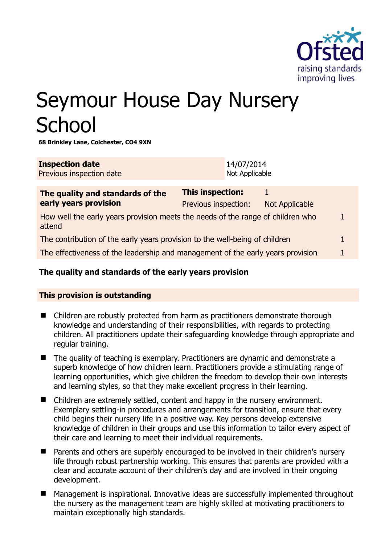

# Seymour House Day Nursery **School**

**68 Brinkley Lane, Colchester, CO4 9XN** 

| <b>Inspection date</b>   | 14/07/2014     |
|--------------------------|----------------|
| Previous inspection date | Not Applicable |

| The quality and standards of the<br>early years provision                                 | <b>This inspection:</b> |                |  |
|-------------------------------------------------------------------------------------------|-------------------------|----------------|--|
|                                                                                           | Previous inspection:    | Not Applicable |  |
| How well the early years provision meets the needs of the range of children who<br>attend |                         |                |  |
| The contribution of the early years provision to the well-being of children               |                         |                |  |
| The effectiveness of the leadership and management of the early years provision           |                         |                |  |
|                                                                                           |                         |                |  |

# **The quality and standards of the early years provision**

# **This provision is outstanding**

- Children are robustly protected from harm as practitioners demonstrate thorough knowledge and understanding of their responsibilities, with regards to protecting children. All practitioners update their safeguarding knowledge through appropriate and regular training.
- The quality of teaching is exemplary. Practitioners are dynamic and demonstrate a superb knowledge of how children learn. Practitioners provide a stimulating range of learning opportunities, which give children the freedom to develop their own interests and learning styles, so that they make excellent progress in their learning.
- Children are extremely settled, content and happy in the nursery environment. Exemplary settling-in procedures and arrangements for transition, ensure that every child begins their nursery life in a positive way. Key persons develop extensive knowledge of children in their groups and use this information to tailor every aspect of their care and learning to meet their individual requirements.
- Parents and others are superbly encouraged to be involved in their children's nursery life through robust partnership working. This ensures that parents are provided with a clear and accurate account of their children's day and are involved in their ongoing development.
- Management is inspirational. Innovative ideas are successfully implemented throughout the nursery as the management team are highly skilled at motivating practitioners to maintain exceptionally high standards.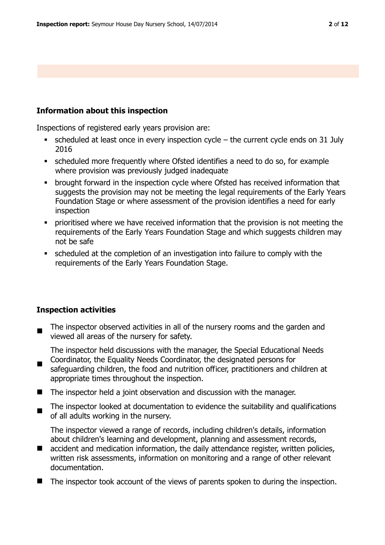# **Information about this inspection**

Inspections of registered early years provision are:

- scheduled at least once in every inspection cycle the current cycle ends on 31 July 2016
- scheduled more frequently where Ofsted identifies a need to do so, for example where provision was previously judged inadequate
- brought forward in the inspection cycle where Ofsted has received information that suggests the provision may not be meeting the legal requirements of the Early Years Foundation Stage or where assessment of the provision identifies a need for early inspection
- **•** prioritised where we have received information that the provision is not meeting the requirements of the Early Years Foundation Stage and which suggests children may not be safe
- scheduled at the completion of an investigation into failure to comply with the requirements of the Early Years Foundation Stage.

# **Inspection activities**

- $\blacksquare$ The inspector observed activities in all of the nursery rooms and the garden and viewed all areas of the nursery for safety.
	- The inspector held discussions with the manager, the Special Educational Needs Coordinator, the Equality Needs Coordinator, the designated persons for
- safeguarding children, the food and nutrition officer, practitioners and children at appropriate times throughout the inspection.
- $\blacksquare$  The inspector held a joint observation and discussion with the manager.
- $\blacksquare$ The inspector looked at documentation to evidence the suitability and qualifications of all adults working in the nursery.
	- The inspector viewed a range of records, including children's details, information about children's learning and development, planning and assessment records,
- accident and medication information, the daily attendance register, written policies, written risk assessments, information on monitoring and a range of other relevant documentation.
- The inspector took account of the views of parents spoken to during the inspection.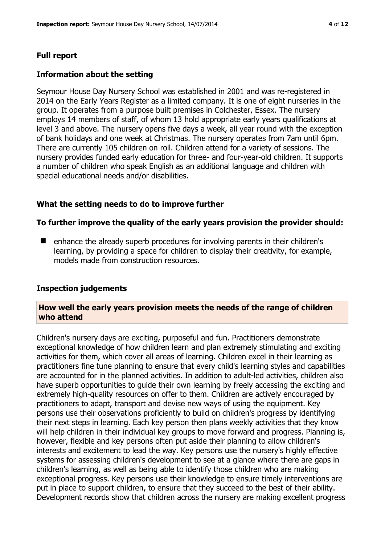# **Full report**

#### **Information about the setting**

Seymour House Day Nursery School was established in 2001 and was re-registered in 2014 on the Early Years Register as a limited company. It is one of eight nurseries in the group. It operates from a purpose built premises in Colchester, Essex. The nursery employs 14 members of staff, of whom 13 hold appropriate early years qualifications at level 3 and above. The nursery opens five days a week, all year round with the exception of bank holidays and one week at Christmas. The nursery operates from 7am until 6pm. There are currently 105 children on roll. Children attend for a variety of sessions. The nursery provides funded early education for three- and four-year-old children. It supports a number of children who speak English as an additional language and children with special educational needs and/or disabilities.

### **What the setting needs to do to improve further**

#### **To further improve the quality of the early years provision the provider should:**

 enhance the already superb procedures for involving parents in their children's learning, by providing a space for children to display their creativity, for example, models made from construction resources.

#### **Inspection judgements**

#### **How well the early years provision meets the needs of the range of children who attend**

Children's nursery days are exciting, purposeful and fun. Practitioners demonstrate exceptional knowledge of how children learn and plan extremely stimulating and exciting activities for them, which cover all areas of learning. Children excel in their learning as practitioners fine tune planning to ensure that every child's learning styles and capabilities are accounted for in the planned activities. In addition to adult-led activities, children also have superb opportunities to guide their own learning by freely accessing the exciting and extremely high-quality resources on offer to them. Children are actively encouraged by practitioners to adapt, transport and devise new ways of using the equipment. Key persons use their observations proficiently to build on children's progress by identifying their next steps in learning. Each key person then plans weekly activities that they know will help children in their individual key groups to move forward and progress. Planning is, however, flexible and key persons often put aside their planning to allow children's interests and excitement to lead the way. Key persons use the nursery's highly effective systems for assessing children's development to see at a glance where there are gaps in children's learning, as well as being able to identify those children who are making exceptional progress. Key persons use their knowledge to ensure timely interventions are put in place to support children, to ensure that they succeed to the best of their ability. Development records show that children across the nursery are making excellent progress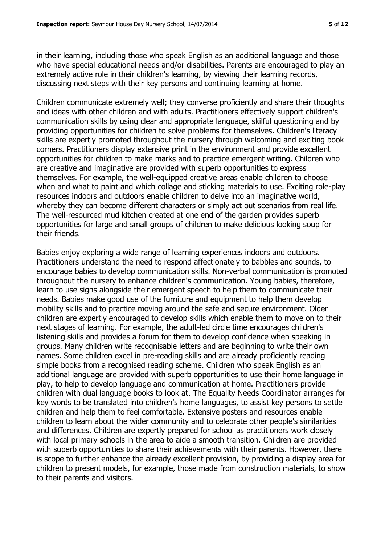in their learning, including those who speak English as an additional language and those who have special educational needs and/or disabilities. Parents are encouraged to play an extremely active role in their children's learning, by viewing their learning records, discussing next steps with their key persons and continuing learning at home.

Children communicate extremely well; they converse proficiently and share their thoughts and ideas with other children and with adults. Practitioners effectively support children's communication skills by using clear and appropriate language, skilful questioning and by providing opportunities for children to solve problems for themselves. Children's literacy skills are expertly promoted throughout the nursery through welcoming and exciting book corners. Practitioners display extensive print in the environment and provide excellent opportunities for children to make marks and to practice emergent writing. Children who are creative and imaginative are provided with superb opportunities to express themselves. For example, the well-equipped creative areas enable children to choose when and what to paint and which collage and sticking materials to use. Exciting role-play resources indoors and outdoors enable children to delve into an imaginative world, whereby they can become different characters or simply act out scenarios from real life. The well-resourced mud kitchen created at one end of the garden provides superb opportunities for large and small groups of children to make delicious looking soup for their friends.

Babies enjoy exploring a wide range of learning experiences indoors and outdoors. Practitioners understand the need to respond affectionately to babbles and sounds, to encourage babies to develop communication skills. Non-verbal communication is promoted throughout the nursery to enhance children's communication. Young babies, therefore, learn to use signs alongside their emergent speech to help them to communicate their needs. Babies make good use of the furniture and equipment to help them develop mobility skills and to practice moving around the safe and secure environment. Older children are expertly encouraged to develop skills which enable them to move on to their next stages of learning. For example, the adult-led circle time encourages children's listening skills and provides a forum for them to develop confidence when speaking in groups. Many children write recognisable letters and are beginning to write their own names. Some children excel in pre-reading skills and are already proficiently reading simple books from a recognised reading scheme. Children who speak English as an additional language are provided with superb opportunities to use their home language in play, to help to develop language and communication at home. Practitioners provide children with dual language books to look at. The Equality Needs Coordinator arranges for key words to be translated into children's home languages, to assist key persons to settle children and help them to feel comfortable. Extensive posters and resources enable children to learn about the wider community and to celebrate other people's similarities and differences. Children are expertly prepared for school as practitioners work closely with local primary schools in the area to aide a smooth transition. Children are provided with superb opportunities to share their achievements with their parents. However, there is scope to further enhance the already excellent provision, by providing a display area for children to present models, for example, those made from construction materials, to show to their parents and visitors.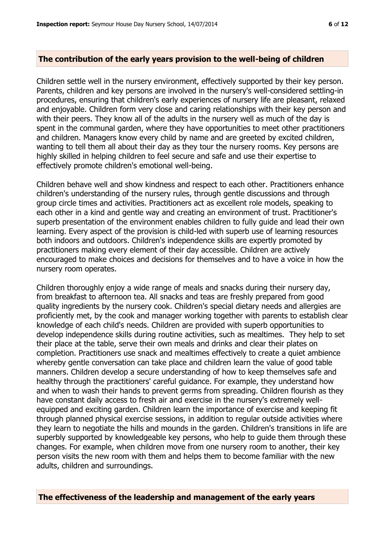# **The contribution of the early years provision to the well-being of children**

Children settle well in the nursery environment, effectively supported by their key person. Parents, children and key persons are involved in the nursery's well-considered settling-in procedures, ensuring that children's early experiences of nursery life are pleasant, relaxed and enjoyable. Children form very close and caring relationships with their key person and with their peers. They know all of the adults in the nursery well as much of the day is spent in the communal garden, where they have opportunities to meet other practitioners and children. Managers know every child by name and are greeted by excited children, wanting to tell them all about their day as they tour the nursery rooms. Key persons are highly skilled in helping children to feel secure and safe and use their expertise to effectively promote children's emotional well-being.

Children behave well and show kindness and respect to each other. Practitioners enhance children's understanding of the nursery rules, through gentle discussions and through group circle times and activities. Practitioners act as excellent role models, speaking to each other in a kind and gentle way and creating an environment of trust. Practitioner's superb presentation of the environment enables children to fully guide and lead their own learning. Every aspect of the provision is child-led with superb use of learning resources both indoors and outdoors. Children's independence skills are expertly promoted by practitioners making every element of their day accessible. Children are actively encouraged to make choices and decisions for themselves and to have a voice in how the nursery room operates.

Children thoroughly enjoy a wide range of meals and snacks during their nursery day, from breakfast to afternoon tea. All snacks and teas are freshly prepared from good quality ingredients by the nursery cook. Children's special dietary needs and allergies are proficiently met, by the cook and manager working together with parents to establish clear knowledge of each child's needs. Children are provided with superb opportunities to develop independence skills during routine activities, such as mealtimes. They help to set their place at the table, serve their own meals and drinks and clear their plates on completion. Practitioners use snack and mealtimes effectively to create a quiet ambience whereby gentle conversation can take place and children learn the value of good table manners. Children develop a secure understanding of how to keep themselves safe and healthy through the practitioners' careful guidance. For example, they understand how and when to wash their hands to prevent germs from spreading. Children flourish as they have constant daily access to fresh air and exercise in the nursery's extremely wellequipped and exciting garden. Children learn the importance of exercise and keeping fit through planned physical exercise sessions, in addition to regular outside activities where they learn to negotiate the hills and mounds in the garden. Children's transitions in life are superbly supported by knowledgeable key persons, who help to guide them through these changes. For example, when children move from one nursery room to another, their key person visits the new room with them and helps them to become familiar with the new adults, children and surroundings.

#### **The effectiveness of the leadership and management of the early years**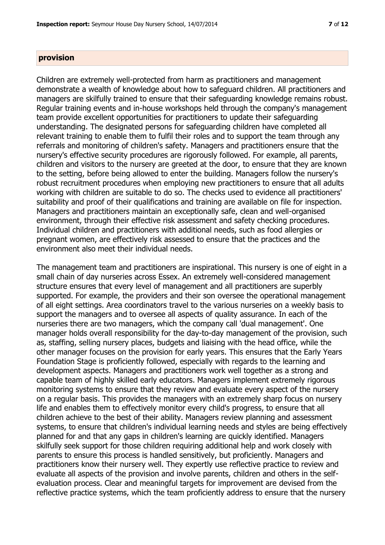#### **provision**

Children are extremely well-protected from harm as practitioners and management demonstrate a wealth of knowledge about how to safeguard children. All practitioners and managers are skilfully trained to ensure that their safeguarding knowledge remains robust. Regular training events and in-house workshops held through the company's management team provide excellent opportunities for practitioners to update their safeguarding understanding. The designated persons for safeguarding children have completed all relevant training to enable them to fulfil their roles and to support the team through any referrals and monitoring of children's safety. Managers and practitioners ensure that the nursery's effective security procedures are rigorously followed. For example, all parents, children and visitors to the nursery are greeted at the door, to ensure that they are known to the setting, before being allowed to enter the building. Managers follow the nursery's robust recruitment procedures when employing new practitioners to ensure that all adults working with children are suitable to do so. The checks used to evidence all practitioners' suitability and proof of their qualifications and training are available on file for inspection. Managers and practitioners maintain an exceptionally safe, clean and well-organised environment, through their effective risk assessment and safety checking procedures. Individual children and practitioners with additional needs, such as food allergies or pregnant women, are effectively risk assessed to ensure that the practices and the environment also meet their individual needs.

The management team and practitioners are inspirational. This nursery is one of eight in a small chain of day nurseries across Essex. An extremely well-considered management structure ensures that every level of management and all practitioners are superbly supported. For example, the providers and their son oversee the operational management of all eight settings. Area coordinators travel to the various nurseries on a weekly basis to support the managers and to oversee all aspects of quality assurance. In each of the nurseries there are two managers, which the company call 'dual management'. One manager holds overall responsibility for the day-to-day management of the provision, such as, staffing, selling nursery places, budgets and liaising with the head office, while the other manager focuses on the provision for early years. This ensures that the Early Years Foundation Stage is proficiently followed, especially with regards to the learning and development aspects. Managers and practitioners work well together as a strong and capable team of highly skilled early educators. Managers implement extremely rigorous monitoring systems to ensure that they review and evaluate every aspect of the nursery on a regular basis. This provides the managers with an extremely sharp focus on nursery life and enables them to effectively monitor every child's progress, to ensure that all children achieve to the best of their ability. Managers review planning and assessment systems, to ensure that children's individual learning needs and styles are being effectively planned for and that any gaps in children's learning are quickly identified. Managers skilfully seek support for those children requiring additional help and work closely with parents to ensure this process is handled sensitively, but proficiently. Managers and practitioners know their nursery well. They expertly use reflective practice to review and evaluate all aspects of the provision and involve parents, children and others in the selfevaluation process. Clear and meaningful targets for improvement are devised from the reflective practice systems, which the team proficiently address to ensure that the nursery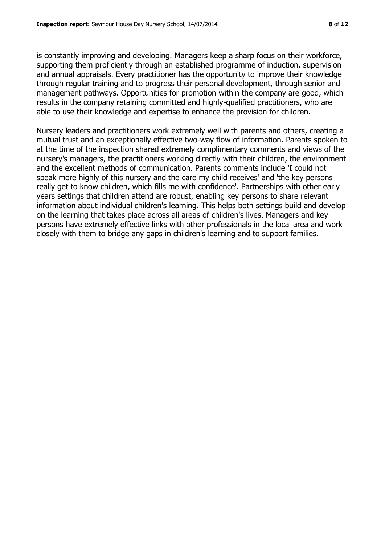is constantly improving and developing. Managers keep a sharp focus on their workforce, supporting them proficiently through an established programme of induction, supervision and annual appraisals. Every practitioner has the opportunity to improve their knowledge through regular training and to progress their personal development, through senior and management pathways. Opportunities for promotion within the company are good, which results in the company retaining committed and highly-qualified practitioners, who are able to use their knowledge and expertise to enhance the provision for children.

Nursery leaders and practitioners work extremely well with parents and others, creating a mutual trust and an exceptionally effective two-way flow of information. Parents spoken to at the time of the inspection shared extremely complimentary comments and views of the nursery's managers, the practitioners working directly with their children, the environment and the excellent methods of communication. Parents comments include 'I could not speak more highly of this nursery and the care my child receives' and 'the key persons really get to know children, which fills me with confidence'. Partnerships with other early years settings that children attend are robust, enabling key persons to share relevant information about individual children's learning. This helps both settings build and develop on the learning that takes place across all areas of children's lives. Managers and key persons have extremely effective links with other professionals in the local area and work closely with them to bridge any gaps in children's learning and to support families.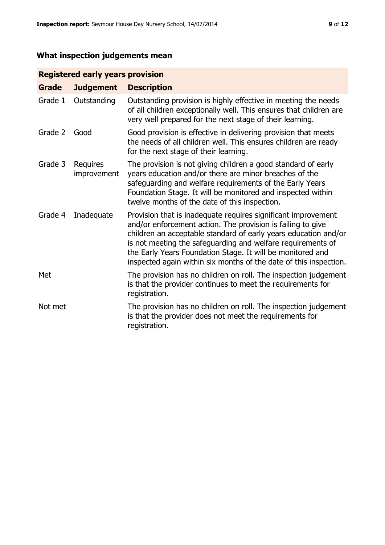# **What inspection judgements mean**

# **Registered early years provision**

| <b>Grade</b> | <b>Judgement</b>        | <b>Description</b>                                                                                                                                                                                                                                                                                                                                                                                |
|--------------|-------------------------|---------------------------------------------------------------------------------------------------------------------------------------------------------------------------------------------------------------------------------------------------------------------------------------------------------------------------------------------------------------------------------------------------|
| Grade 1      | Outstanding             | Outstanding provision is highly effective in meeting the needs<br>of all children exceptionally well. This ensures that children are<br>very well prepared for the next stage of their learning.                                                                                                                                                                                                  |
| Grade 2      | Good                    | Good provision is effective in delivering provision that meets<br>the needs of all children well. This ensures children are ready<br>for the next stage of their learning.                                                                                                                                                                                                                        |
| Grade 3      | Requires<br>improvement | The provision is not giving children a good standard of early<br>years education and/or there are minor breaches of the<br>safeguarding and welfare requirements of the Early Years<br>Foundation Stage. It will be monitored and inspected within<br>twelve months of the date of this inspection.                                                                                               |
| Grade 4      | Inadequate              | Provision that is inadequate requires significant improvement<br>and/or enforcement action. The provision is failing to give<br>children an acceptable standard of early years education and/or<br>is not meeting the safeguarding and welfare requirements of<br>the Early Years Foundation Stage. It will be monitored and<br>inspected again within six months of the date of this inspection. |
| Met          |                         | The provision has no children on roll. The inspection judgement<br>is that the provider continues to meet the requirements for<br>registration.                                                                                                                                                                                                                                                   |
| Not met      |                         | The provision has no children on roll. The inspection judgement<br>is that the provider does not meet the requirements for<br>registration.                                                                                                                                                                                                                                                       |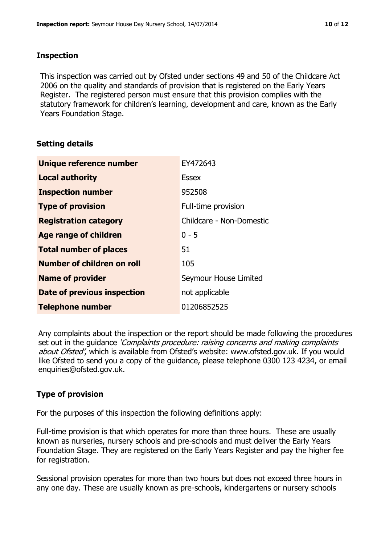#### **Inspection**

This inspection was carried out by Ofsted under sections 49 and 50 of the Childcare Act 2006 on the quality and standards of provision that is registered on the Early Years Register. The registered person must ensure that this provision complies with the statutory framework for children's learning, development and care, known as the Early Years Foundation Stage.

#### **Setting details**

| Unique reference number       | EY472643                 |
|-------------------------------|--------------------------|
| <b>Local authority</b>        | <b>Essex</b>             |
| <b>Inspection number</b>      | 952508                   |
| <b>Type of provision</b>      | Full-time provision      |
| <b>Registration category</b>  | Childcare - Non-Domestic |
| <b>Age range of children</b>  | $0 - 5$                  |
| <b>Total number of places</b> | 51                       |
| Number of children on roll    | 105                      |
| <b>Name of provider</b>       | Seymour House Limited    |
| Date of previous inspection   | not applicable           |
| <b>Telephone number</b>       | 01206852525              |

Any complaints about the inspection or the report should be made following the procedures set out in the guidance *'Complaints procedure: raising concerns and making complaints* about Ofsted', which is available from Ofsted's website: www.ofsted.gov.uk. If you would like Ofsted to send you a copy of the guidance, please telephone 0300 123 4234, or email enquiries@ofsted.gov.uk.

# **Type of provision**

For the purposes of this inspection the following definitions apply:

Full-time provision is that which operates for more than three hours. These are usually known as nurseries, nursery schools and pre-schools and must deliver the Early Years Foundation Stage. They are registered on the Early Years Register and pay the higher fee for registration.

Sessional provision operates for more than two hours but does not exceed three hours in any one day. These are usually known as pre-schools, kindergartens or nursery schools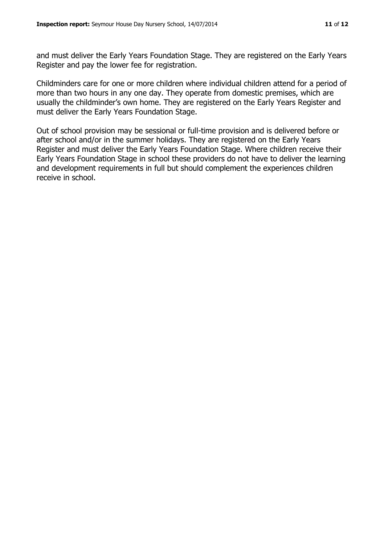and must deliver the Early Years Foundation Stage. They are registered on the Early Years Register and pay the lower fee for registration.

Childminders care for one or more children where individual children attend for a period of more than two hours in any one day. They operate from domestic premises, which are usually the childminder's own home. They are registered on the Early Years Register and must deliver the Early Years Foundation Stage.

Out of school provision may be sessional or full-time provision and is delivered before or after school and/or in the summer holidays. They are registered on the Early Years Register and must deliver the Early Years Foundation Stage. Where children receive their Early Years Foundation Stage in school these providers do not have to deliver the learning and development requirements in full but should complement the experiences children receive in school.